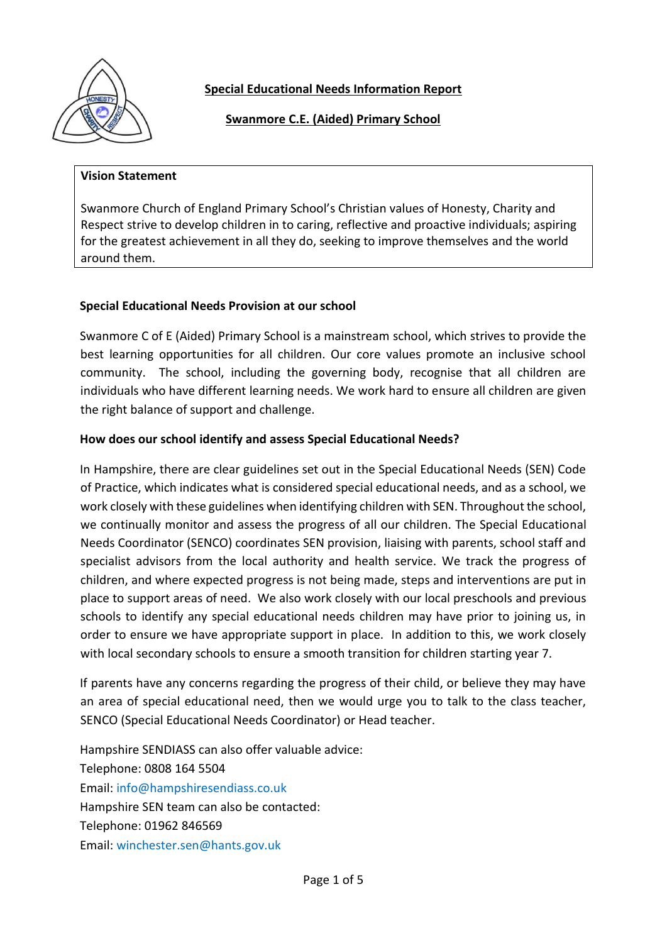

**Special Educational Needs Information Report**

**Swanmore C.E. (Aided) Primary School** 

#### **Vision Statement**

Swanmore Church of England Primary School's Christian values of Honesty, Charity and Respect strive to develop children in to caring, reflective and proactive individuals; aspiring for the greatest achievement in all they do, seeking to improve themselves and the world around them.

#### **Special Educational Needs Provision at our school**

Swanmore C of E (Aided) Primary School is a mainstream school, which strives to provide the best learning opportunities for all children. Our core values promote an inclusive school community. The school, including the governing body, recognise that all children are individuals who have different learning needs. We work hard to ensure all children are given the right balance of support and challenge.

#### **How does our school identify and assess Special Educational Needs?**

In Hampshire, there are clear guidelines set out in the Special Educational Needs (SEN) Code of Practice, which indicates what is considered special educational needs, and as a school, we work closely with these guidelines when identifying children with SEN. Throughout the school, we continually monitor and assess the progress of all our children. The Special Educational Needs Coordinator (SENCO) coordinates SEN provision, liaising with parents, school staff and specialist advisors from the local authority and health service. We track the progress of children, and where expected progress is not being made, steps and interventions are put in place to support areas of need. We also work closely with our local preschools and previous schools to identify any special educational needs children may have prior to joining us, in order to ensure we have appropriate support in place. In addition to this, we work closely with local secondary schools to ensure a smooth transition for children starting year 7.

If parents have any concerns regarding the progress of their child, or believe they may have an area of special educational need, then we would urge you to talk to the class teacher, SENCO (Special Educational Needs Coordinator) or Head teacher.

Hampshire SENDIASS can also offer valuable advice: Telephone: 0808 164 5504 Email: [info@hampshiresendiass.co.uk](mailto:info@hampshiresendiass.co.uk?subject=Hampshire%20SENDIASS%20Web%20Enquiry)  Hampshire SEN team can also be contacted: Telephone: 01962 846569 Email: [winchester.sen@hants.gov.uk](mailto:winchester.sen@hants.gov.uk)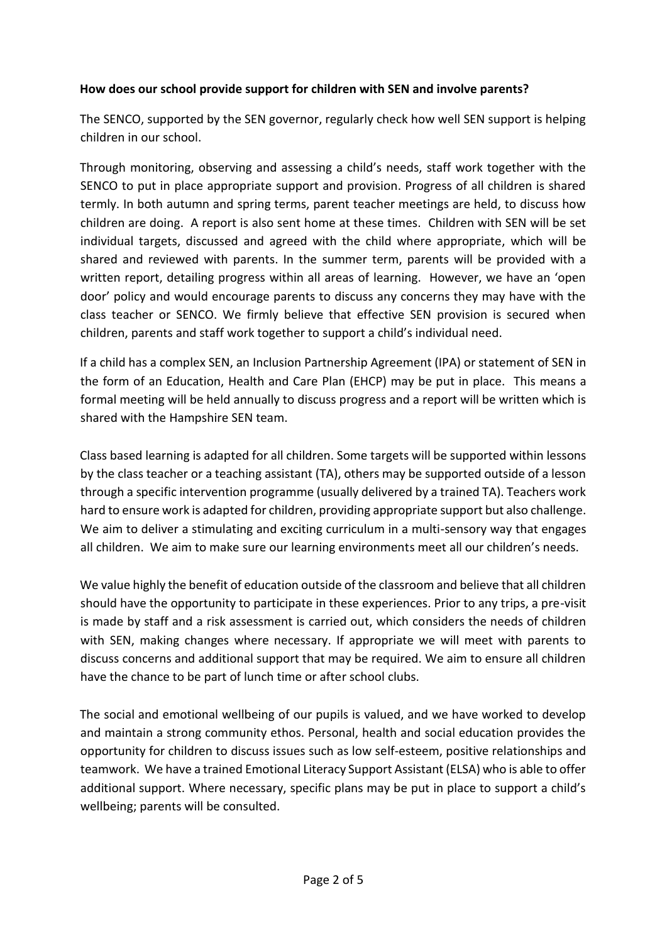### **How does our school provide support for children with SEN and involve parents?**

The SENCO, supported by the SEN governor, regularly check how well SEN support is helping children in our school.

Through monitoring, observing and assessing a child's needs, staff work together with the SENCO to put in place appropriate support and provision. Progress of all children is shared termly. In both autumn and spring terms, parent teacher meetings are held, to discuss how children are doing. A report is also sent home at these times. Children with SEN will be set individual targets, discussed and agreed with the child where appropriate, which will be shared and reviewed with parents. In the summer term, parents will be provided with a written report, detailing progress within all areas of learning. However, we have an 'open door' policy and would encourage parents to discuss any concerns they may have with the class teacher or SENCO. We firmly believe that effective SEN provision is secured when children, parents and staff work together to support a child's individual need.

If a child has a complex SEN, an Inclusion Partnership Agreement (IPA) or statement of SEN in the form of an Education, Health and Care Plan (EHCP) may be put in place. This means a formal meeting will be held annually to discuss progress and a report will be written which is shared with the Hampshire SEN team.

Class based learning is adapted for all children. Some targets will be supported within lessons by the class teacher or a teaching assistant (TA), others may be supported outside of a lesson through a specific intervention programme (usually delivered by a trained TA). Teachers work hard to ensure work is adapted for children, providing appropriate support but also challenge. We aim to deliver a stimulating and exciting curriculum in a multi-sensory way that engages all children. We aim to make sure our learning environments meet all our children's needs.

We value highly the benefit of education outside of the classroom and believe that all children should have the opportunity to participate in these experiences. Prior to any trips, a pre-visit is made by staff and a risk assessment is carried out, which considers the needs of children with SEN, making changes where necessary. If appropriate we will meet with parents to discuss concerns and additional support that may be required. We aim to ensure all children have the chance to be part of lunch time or after school clubs.

The social and emotional wellbeing of our pupils is valued, and we have worked to develop and maintain a strong community ethos. Personal, health and social education provides the opportunity for children to discuss issues such as low self-esteem, positive relationships and teamwork. We have a trained Emotional Literacy Support Assistant (ELSA) who is able to offer additional support. Where necessary, specific plans may be put in place to support a child's wellbeing; parents will be consulted.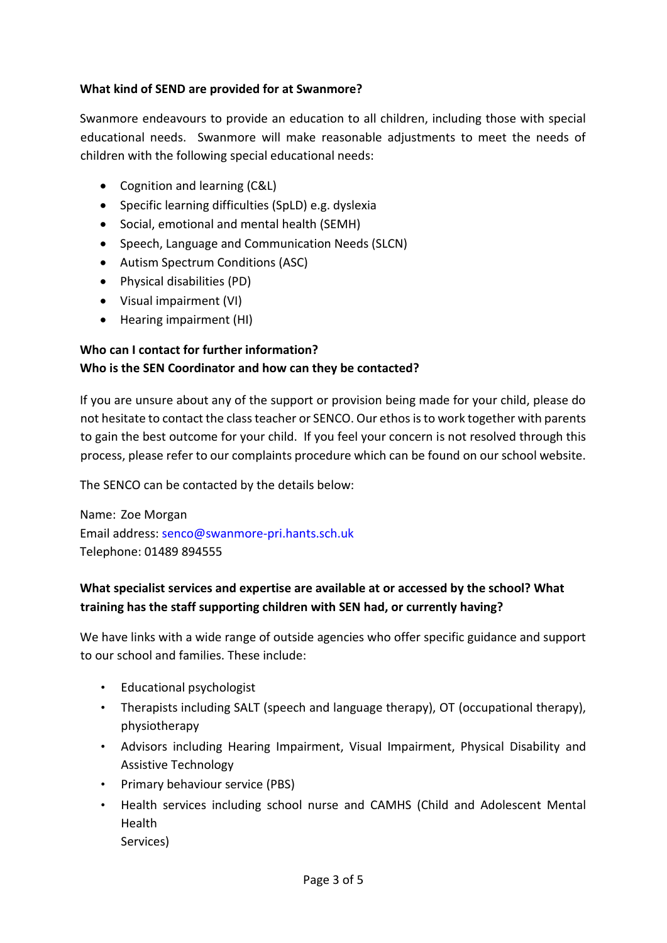#### **What kind of SEND are provided for at Swanmore?**

Swanmore endeavours to provide an education to all children, including those with special educational needs. Swanmore will make reasonable adjustments to meet the needs of children with the following special educational needs:

- Cognition and learning (C&L)
- Specific learning difficulties (SpLD) e.g. dyslexia
- Social, emotional and mental health (SEMH)
- Speech, Language and Communication Needs (SLCN)
- Autism Spectrum Conditions (ASC)
- Physical disabilities (PD)
- Visual impairment (VI)
- Hearing impairment (HI)

### **Who can I contact for further information? Who is the SEN Coordinator and how can they be contacted?**

If you are unsure about any of the support or provision being made for your child, please do not hesitate to contact the class teacher or SENCO. Our ethos is to work together with parents to gain the best outcome for your child. If you feel your concern is not resolved through this process, please refer to our complaints procedure which can be found on our school website.

The SENCO can be contacted by the details below:

Name: Zoe Morgan Email address: [senco@swanmore-pri.hants.sch.uk](mailto:senco@swanmore-pri.hants.sch.uk) Telephone: 01489 894555

## **What specialist services and expertise are available at or accessed by the school? What training has the staff supporting children with SEN had, or currently having?**

We have links with a wide range of outside agencies who offer specific guidance and support to our school and families. These include:

- Educational psychologist
- Therapists including SALT (speech and language therapy), OT (occupational therapy), physiotherapy
- Advisors including Hearing Impairment, Visual Impairment, Physical Disability and Assistive Technology
- Primary behaviour service (PBS)
- Health services including school nurse and CAMHS (Child and Adolescent Mental Health Services)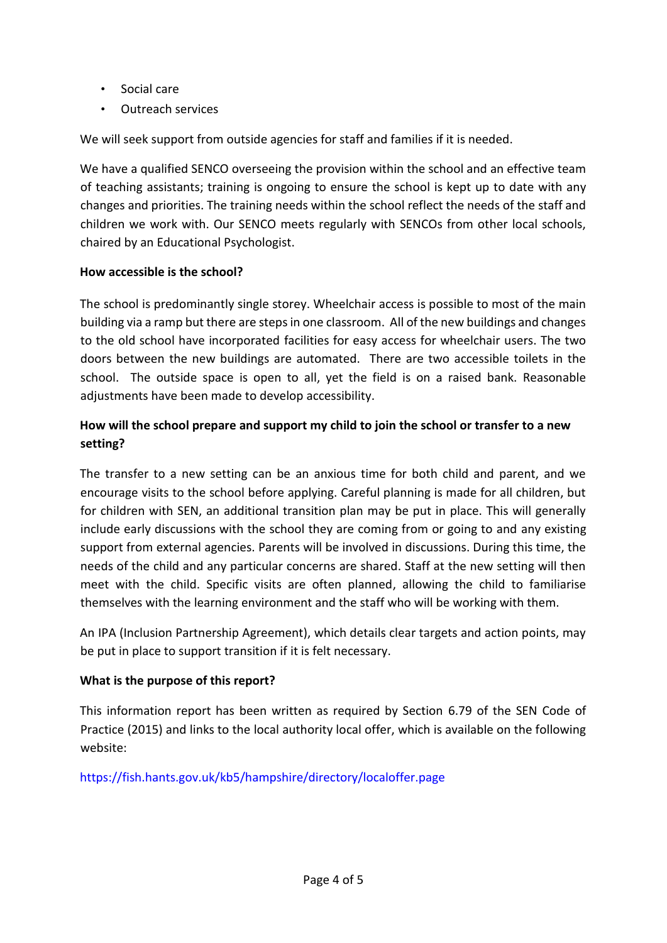- Social care
- Outreach services

We will seek support from outside agencies for staff and families if it is needed.

We have a qualified SENCO overseeing the provision within the school and an effective team of teaching assistants; training is ongoing to ensure the school is kept up to date with any changes and priorities. The training needs within the school reflect the needs of the staff and children we work with. Our SENCO meets regularly with SENCOs from other local schools, chaired by an Educational Psychologist.

### **How accessible is the school?**

The school is predominantly single storey. Wheelchair access is possible to most of the main building via a ramp but there are steps in one classroom. All of the new buildings and changes to the old school have incorporated facilities for easy access for wheelchair users. The two doors between the new buildings are automated. There are two accessible toilets in the school. The outside space is open to all, yet the field is on a raised bank. Reasonable adjustments have been made to develop accessibility.

# **How will the school prepare and support my child to join the school or transfer to a new setting?**

The transfer to a new setting can be an anxious time for both child and parent, and we encourage visits to the school before applying. Careful planning is made for all children, but for children with SEN, an additional transition plan may be put in place. This will generally include early discussions with the school they are coming from or going to and any existing support from external agencies. Parents will be involved in discussions. During this time, the needs of the child and any particular concerns are shared. Staff at the new setting will then meet with the child. Specific visits are often planned, allowing the child to familiarise themselves with the learning environment and the staff who will be working with them.

An IPA (Inclusion Partnership Agreement), which details clear targets and action points, may be put in place to support transition if it is felt necessary.

### **What is the purpose of this report?**

This information report has been written as required by Section 6.79 of the SEN Code of Practice (2015) and links to the local authority local offer, which is available on the following website:

<https://fish.hants.gov.uk/kb5/hampshire/directory/localoffer.page>